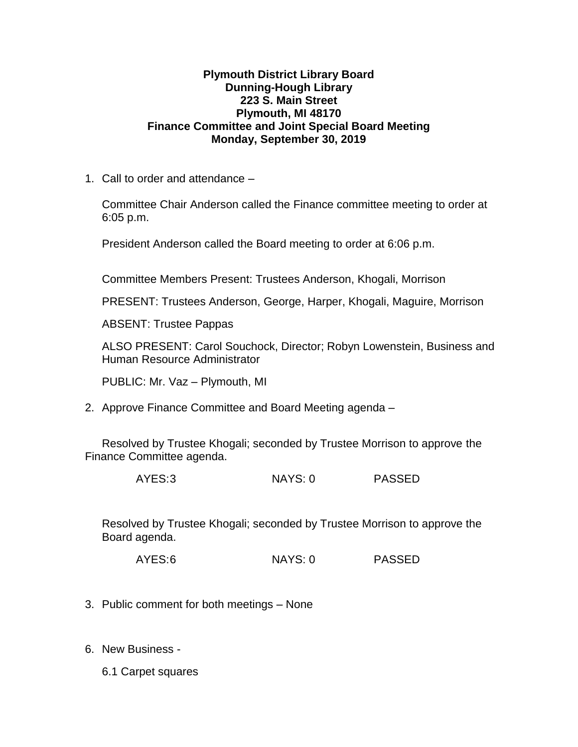## **Plymouth District Library Board Dunning-Hough Library 223 S. Main Street Plymouth, MI 48170 Finance Committee and Joint Special Board Meeting Monday, September 30, 2019**

1. Call to order and attendance –

Committee Chair Anderson called the Finance committee meeting to order at 6:05 p.m.

President Anderson called the Board meeting to order at 6:06 p.m.

Committee Members Present: Trustees Anderson, Khogali, Morrison

PRESENT: Trustees Anderson, George, Harper, Khogali, Maguire, Morrison

ABSENT: Trustee Pappas

ALSO PRESENT: Carol Souchock, Director; Robyn Lowenstein, Business and Human Resource Administrator

PUBLIC: Mr. Vaz – Plymouth, MI

2. Approve Finance Committee and Board Meeting agenda –

Resolved by Trustee Khogali; seconded by Trustee Morrison to approve the Finance Committee agenda.

AYES:3 NAYS: 0 PASSED

Resolved by Trustee Khogali; seconded by Trustee Morrison to approve the Board agenda.

AYES:6 NAYS: 0 PASSED

- 3. Public comment for both meetings None
- 6. New Business
	- 6.1 Carpet squares